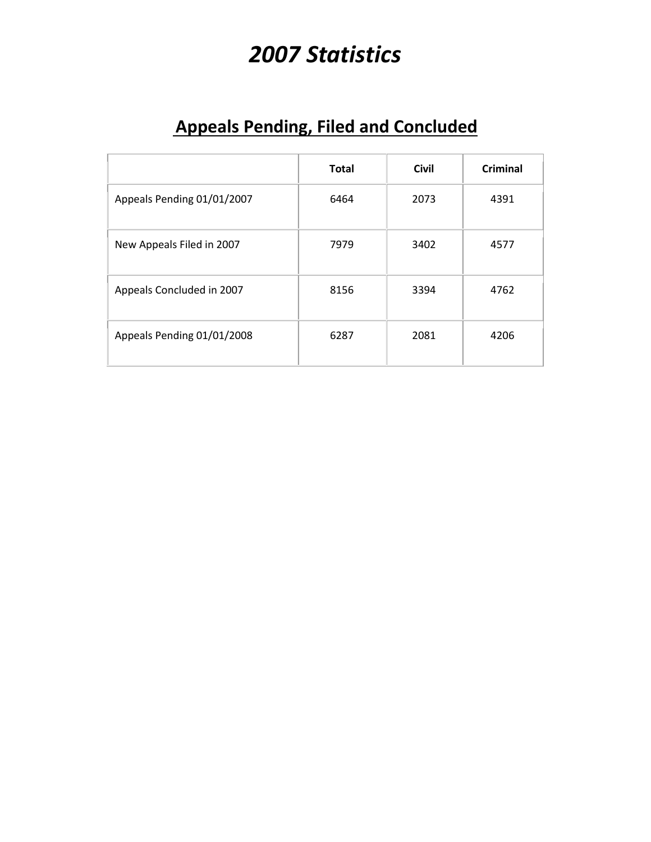# *2007 Statistics*

### **Appeals Pending, Filed and Concluded**

|                            | <b>Total</b> | <b>Civil</b> | <b>Criminal</b> |
|----------------------------|--------------|--------------|-----------------|
| Appeals Pending 01/01/2007 | 6464         | 2073         | 4391            |
| New Appeals Filed in 2007  | 7979         | 3402         | 4577            |
| Appeals Concluded in 2007  | 8156         | 3394         | 4762            |
| Appeals Pending 01/01/2008 | 6287         | 2081         | 4206            |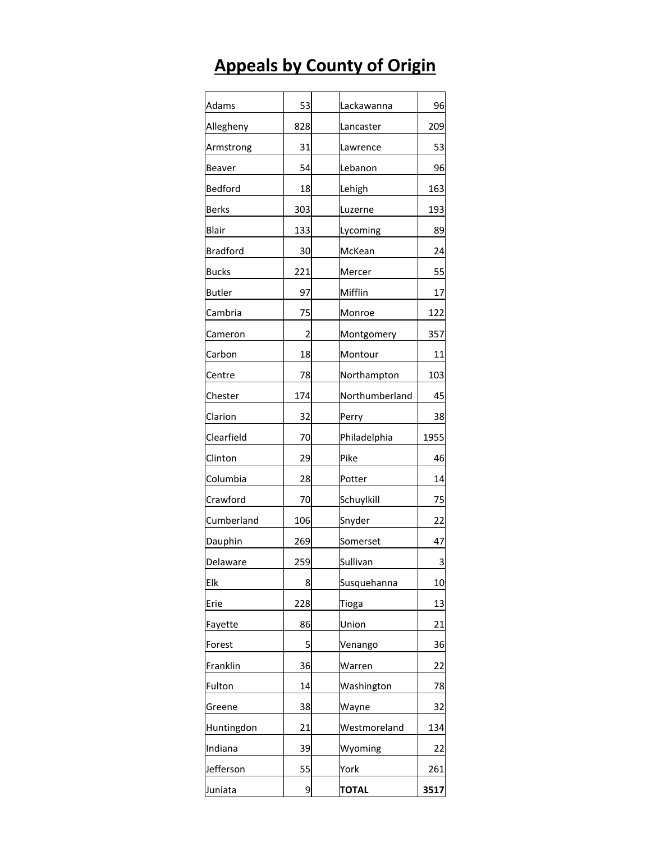## **Appeals by County of Origin**

| Adams           | 53             | Lackawanna     | 96   |
|-----------------|----------------|----------------|------|
| Allegheny       | 828            | Lancaster      | 209  |
| Armstrong       | 31             | Lawrence       | 53   |
| Beaver          | 54             | Lebanon        | 96   |
| Bedford         | 18             | Lehigh         | 163  |
| <b>Berks</b>    | 303            | Luzerne        | 193  |
| Blair           | 133            | Lycoming       | 89   |
| <b>Bradford</b> | 30             | McKean         | 24   |
| Bucks           | 221            | Mercer         | 55   |
| <b>Butler</b>   | 97             | Mifflin        | 17   |
| Cambria         | 75             | Monroe         | 122  |
| Cameron         | $\overline{2}$ | Montgomery     | 357  |
| Carbon          | 18             | Montour        | 11   |
| Centre          | 78             | Northampton    | 103  |
| Chester         | 174            | Northumberland | 45   |
| Clarion         | 32             | Perry          | 38   |
| Clearfield      | 70             | Philadelphia   | 1955 |
| Clinton         | 29             | Pike           | 46   |
| Columbia        | 28             | Potter         | 14   |
| Crawford        | 70             | Schuylkill     | 75   |
| Cumberland      | 106            | Snyder         | 22   |
| Dauphin         | 269            | Somerset       | 47   |
| Delaware        | 259            | Sullivan       | 3    |
| Elk             | 8              | Susquehanna    | 10   |
| Erie            | 228            | Tioga          | 13   |
| Fayette         | 86             | Union          | 21   |
| Forest          | 5              | Venango        | 36   |
| Franklin        | 36             | Warren         | 22   |
| Fulton          | 14             | Washington     | 78   |
| Greene          | 38             | Wayne          | 32   |
| Huntingdon      | 21             | Westmoreland   | 134  |
| Indiana         | 39             | Wyoming        | 22   |
| Jefferson       | 55             | York           | 261  |
| Juniata         | 9              | <b>TOTAL</b>   | 3517 |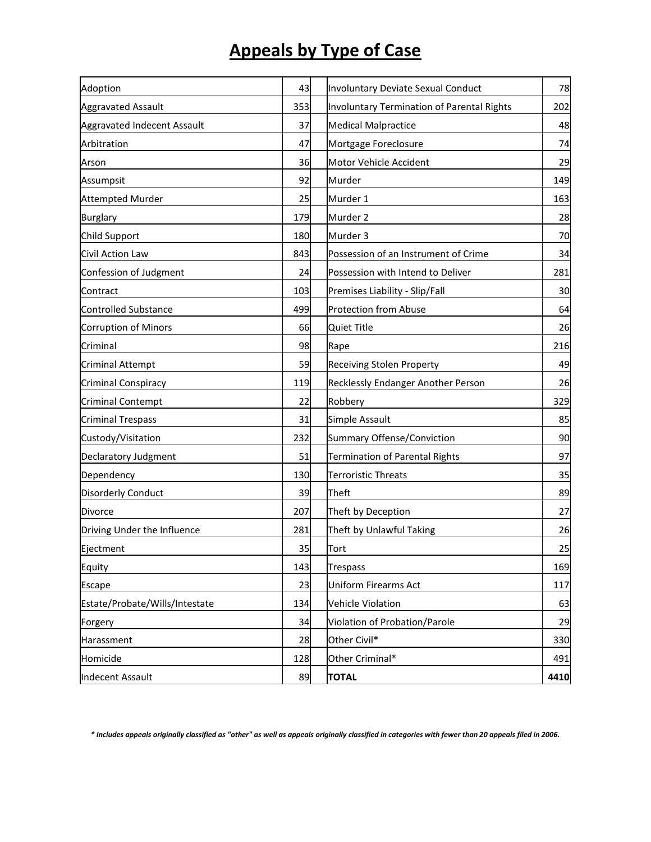### **Appeals by Type of Case**

| Adoption                       | 43  | Involuntary Deviate Sexual Conduct         | 78   |
|--------------------------------|-----|--------------------------------------------|------|
| <b>Aggravated Assault</b>      | 353 | Involuntary Termination of Parental Rights | 202  |
| Aggravated Indecent Assault    | 37  | <b>Medical Malpractice</b>                 | 48   |
| Arbitration                    | 47  | Mortgage Foreclosure                       | 74   |
| Arson                          | 36  | Motor Vehicle Accident                     | 29   |
| Assumpsit                      | 92  | Murder                                     | 149  |
| <b>Attempted Murder</b>        | 25  | Murder 1                                   | 163  |
| <b>Burglary</b>                | 179 | Murder 2                                   | 28   |
| Child Support                  | 180 | Murder 3                                   | 70   |
| Civil Action Law               | 843 | Possession of an Instrument of Crime       | 34   |
| Confession of Judgment         | 24  | Possession with Intend to Deliver          | 281  |
| Contract                       | 103 | Premises Liability - Slip/Fall             | 30   |
| <b>Controlled Substance</b>    | 499 | <b>Protection from Abuse</b>               | 64   |
| <b>Corruption of Minors</b>    | 66  | <b>Quiet Title</b>                         | 26   |
| Criminal                       | 98  | Rape                                       | 216  |
| <b>Criminal Attempt</b>        | 59  | <b>Receiving Stolen Property</b>           | 49   |
| Criminal Conspiracy            | 119 | Recklessly Endanger Another Person         | 26   |
| <b>Criminal Contempt</b>       | 22  | Robbery                                    | 329  |
| <b>Criminal Trespass</b>       | 31  | Simple Assault                             | 85   |
| Custody/Visitation             | 232 | Summary Offense/Conviction                 | 90   |
| Declaratory Judgment           | 51  | <b>Termination of Parental Rights</b>      | 97   |
| Dependency                     | 130 | <b>Terroristic Threats</b>                 | 35   |
| <b>Disorderly Conduct</b>      | 39  | Theft                                      | 89   |
| Divorce                        | 207 | Theft by Deception                         | 27   |
| Driving Under the Influence    | 281 | Theft by Unlawful Taking                   | 26   |
| Ejectment                      | 35  | Tort                                       | 25   |
| Equity                         | 143 | <b>Trespass</b>                            | 169  |
| Escape                         | 23  | Uniform Firearms Act                       | 117  |
| Estate/Probate/Wills/Intestate | 134 | Vehicle Violation                          | 63   |
| Forgery                        | 34  | Violation of Probation/Parole              | 29   |
| Harassment                     | 28  | Other Civil*                               | 330  |
| Homicide                       | 128 | Other Criminal*                            | 491  |
| <b>Indecent Assault</b>        | 89  | <b>TOTAL</b>                               | 4410 |
|                                |     |                                            |      |

*\* Includes appeals originally classified as "other" as well as appeals originally classified in categories with fewer than 20 appeals filed in 2006.*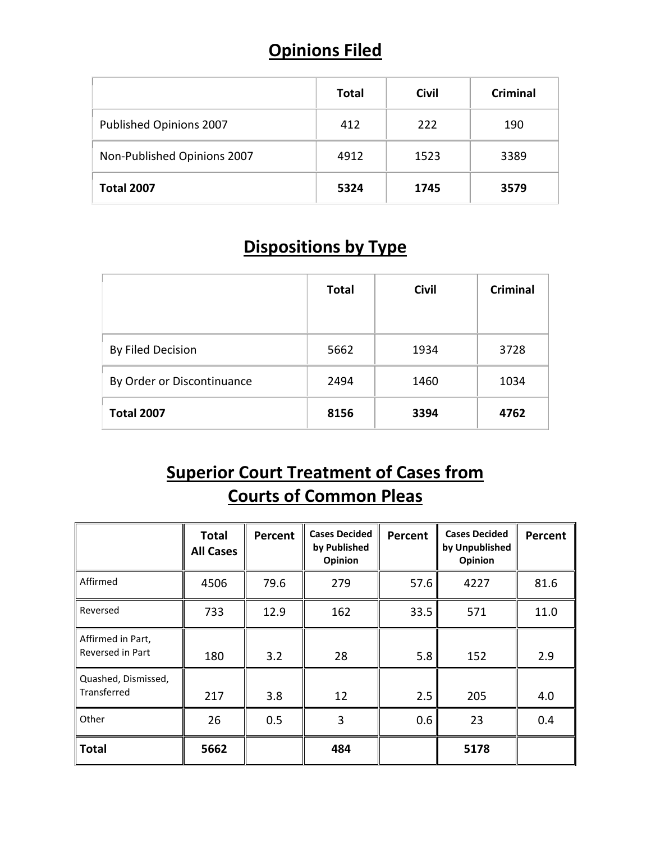#### **Opinions Filed**

|                             | <b>Total</b> | <b>Civil</b> | <b>Criminal</b> |
|-----------------------------|--------------|--------------|-----------------|
| Published Opinions 2007     | 412          | 222          | 190             |
| Non-Published Opinions 2007 | 4912         | 1523         | 3389            |
| <b>Total 2007</b>           | 5324         | 1745         | 3579            |

#### **Dispositions by Type**

|                            | <b>Total</b> | <b>Civil</b> | <b>Criminal</b> |
|----------------------------|--------------|--------------|-----------------|
| By Filed Decision          | 5662         | 1934         | 3728            |
| By Order or Discontinuance | 2494         | 1460         | 1034            |
| <b>Total 2007</b>          | 8156         | 3394         | 4762            |

### **Superior Court Treatment of Cases from Courts of Common Pleas**

|                                       | <b>Total</b><br><b>All Cases</b> | Percent | <b>Cases Decided</b><br>by Published<br>Opinion | Percent | <b>Cases Decided</b><br>by Unpublished<br>Opinion | Percent |
|---------------------------------------|----------------------------------|---------|-------------------------------------------------|---------|---------------------------------------------------|---------|
| Affirmed                              | 4506                             | 79.6    | 279                                             | 57.6    | 4227                                              | 81.6    |
| Reversed                              | 733                              | 12.9    | 162                                             | 33.5    | 571                                               | 11.0    |
| Affirmed in Part,<br>Reversed in Part | 180                              | 3.2     | 28                                              | 5.8     | 152                                               | 2.9     |
| Quashed, Dismissed,<br>Transferred    | 217                              | 3.8     | 12                                              | 2.5     | 205                                               | 4.0     |
| Other                                 | 26                               | 0.5     | 3                                               | 0.6     | 23                                                | 0.4     |
| <b>Total</b>                          | 5662                             |         | 484                                             |         | 5178                                              |         |